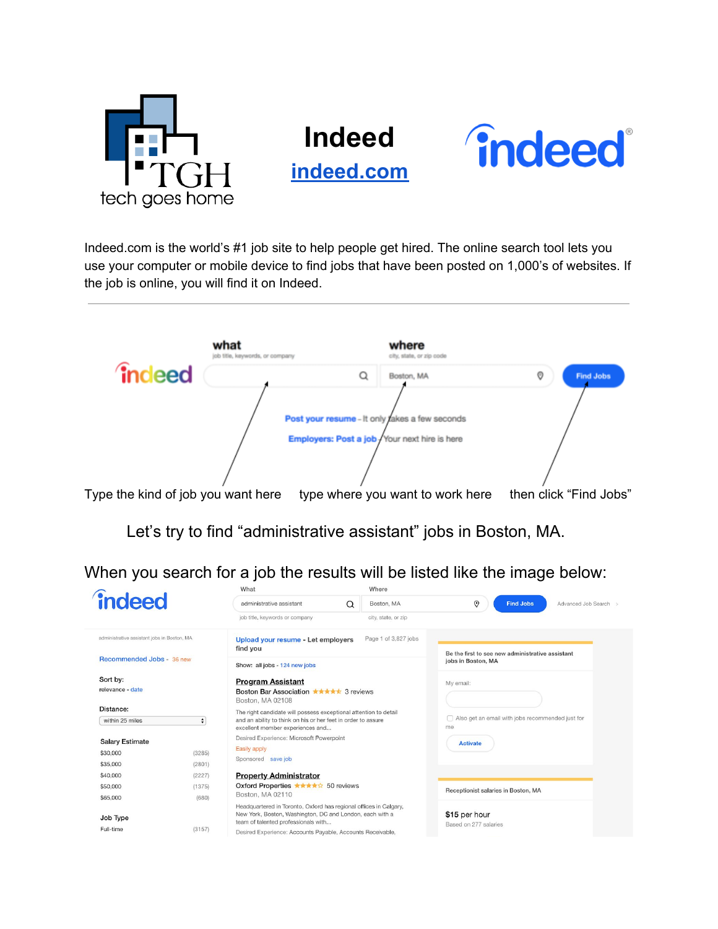

## **Indeed**

**[indeed.com](https://www.indeed.com/)**



Indeed.com is the world's #1 job site to help people get hired. The online search tool lets you use your computer or mobile device to find jobs that have been posted on 1,000's of websites. If the job is online, you will find it on Indeed.



Let's try to find "administrative assistant" jobs in Boston, MA.

When you search for a job the results will be listed like the image below:

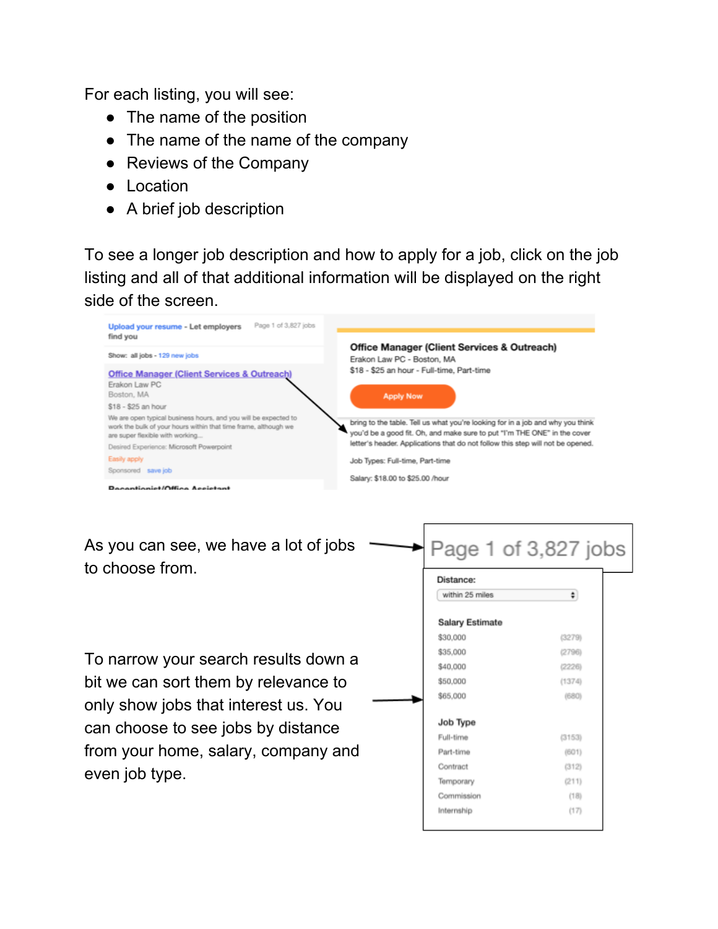For each listing, you will see:

- The name of the position
- The name of the name of the company
- Reviews of the Company
- Location
- A brief job description

To see a longer job description and how to apply for a job, click on the job listing and all of that additional information will be displayed on the right side of the screen.



As you can see, we have a lot of jobs to choose from.

To narrow your search results down a bit we can sort them by relevance to only show jobs that interest us. You can choose to see jobs by distance from your home, salary, company and even job type.

| Distance:       |        |
|-----------------|--------|
| within 25 miles | ¢)     |
| Salary Estimate |        |
| \$30,000        | (3279) |
| \$35,000        | (2796) |
| \$40,000        | (2226) |
| \$50,000        | (1374) |
| \$65,000        | (680)  |
| Job Type        |        |
| Full-time       | (3153) |
| Part-time       | (601)  |
| Contract        | (312)  |
| Temporary       | (211)  |
| Commission      | (18)   |
| Internship      | (17)   |

Page 1 of 3,827 jobs